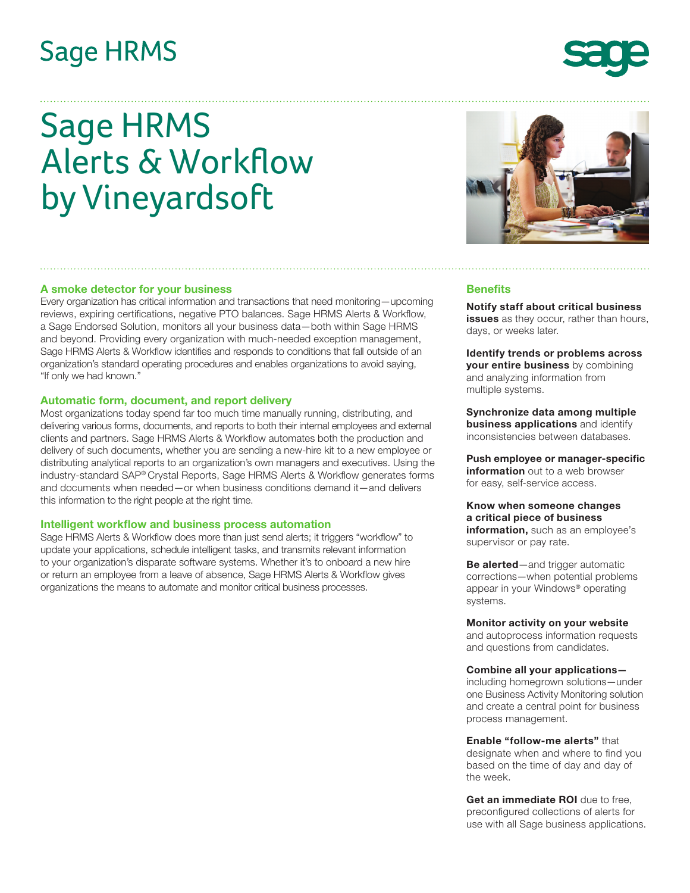## **Sage HRMS**

# Sage HRMS Alerts & Workflow by Vineyardsoft

#### **A smoke detector for your business**

Every organization has critical information and transactions that need monitoring—upcoming reviews, expiring certifications, negative PTO balances. Sage HRMS Alerts & Workflow, a Sage Endorsed Solution, monitors all your business data—both within Sage HRMS and beyond. Providing every organization with much-needed exception management, Sage HRMS Alerts & Workflow identifies and responds to conditions that fall outside of an organization's standard operating procedures and enables organizations to avoid saying, "If only we had known."

#### **Automatic form, document, and report delivery**

Most organizations today spend far too much time manually running, distributing, and delivering various forms, documents, and reports to both their internal employees and external clients and partners. Sage HRMS Alerts & Workflow automates both the production and delivery of such documents, whether you are sending a new-hire kit to a new employee or distributing analytical reports to an organization's own managers and executives. Using the industry-standard SAP® Crystal Reports, Sage HRMS Alerts & Workflow generates forms and documents when needed—or when business conditions demand it—and delivers this information to the right people at the right time.

#### **Intelligent workflow and business process automation**

Sage HRMS Alerts & Workflow does more than just send alerts; it triggers "workflow" to update your applications, schedule intelligent tasks, and transmits relevant information to your organization's disparate software systems. Whether it's to onboard a new hire or return an employee from a leave of absence, Sage HRMS Alerts & Workflow gives organizations the means to automate and monitor critical business processes.

### **Benefits**

**Notify staff about critical business issues** as they occur, rather than hours, days, or weeks later.

**Identify trends or problems across your entire business** by combining and analyzing information from multiple systems.

**Synchronize data among multiple business applications** and identify inconsistencies between databases.

**Push employee or manager-specific information** out to a web browser for easy, self-service access.

#### **Know when someone changes a critical piece of business information,** such as an employee's supervisor or pay rate.

**Be alerted**—and trigger automatic corrections—when potential problems appear in your Windows® operating systems.

#### **Monitor activity on your website**

and autoprocess information requests and questions from candidates.

#### **Combine all your applications—**

including homegrown solutions—under one Business Activity Monitoring solution and create a central point for business process management.

#### **Enable "follow-me alerts"** that designate when and where to find you based on the time of day and day of the week.

**Get an immediate ROI** due to free, preconfigured collections of alerts for use with all Sage business applications.